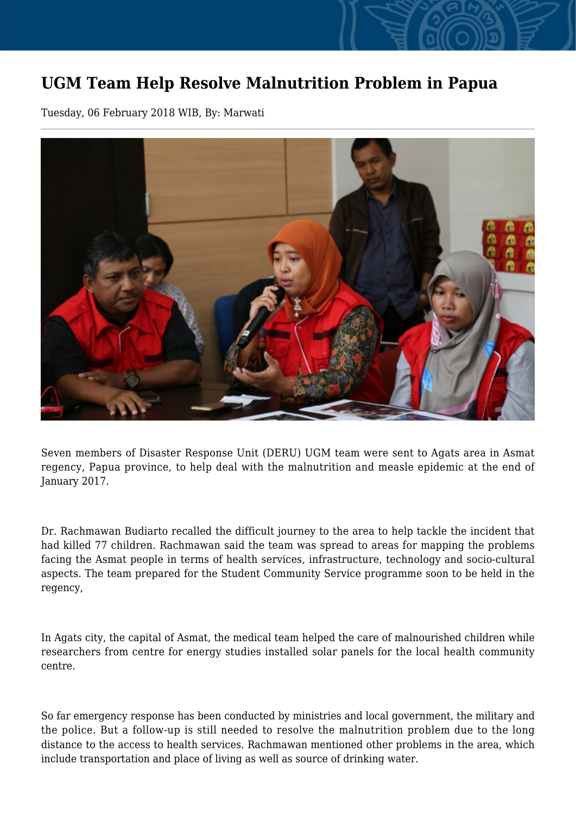## **UGM Team Help Resolve Malnutrition Problem in Papua**

Tuesday, 06 February 2018 WIB, By: Marwati



Seven members of Disaster Response Unit (DERU) UGM team were sent to Agats area in Asmat regency, Papua province, to help deal with the malnutrition and measle epidemic at the end of January 2017.

Dr. Rachmawan Budiarto recalled the difficult journey to the area to help tackle the incident that had killed 77 children. Rachmawan said the team was spread to areas for mapping the problems facing the Asmat people in terms of health services, infrastructure, technology and socio-cultural aspects. The team prepared for the Student Community Service programme soon to be held in the regency,

In Agats city, the capital of Asmat, the medical team helped the care of malnourished children while researchers from centre for energy studies installed solar panels for the local health community centre.

So far emergency response has been conducted by ministries and local government, the military and the police. But a follow-up is still needed to resolve the malnutrition problem due to the long distance to the access to health services. Rachmawan mentioned other problems in the area, which include transportation and place of living as well as source of drinking water.